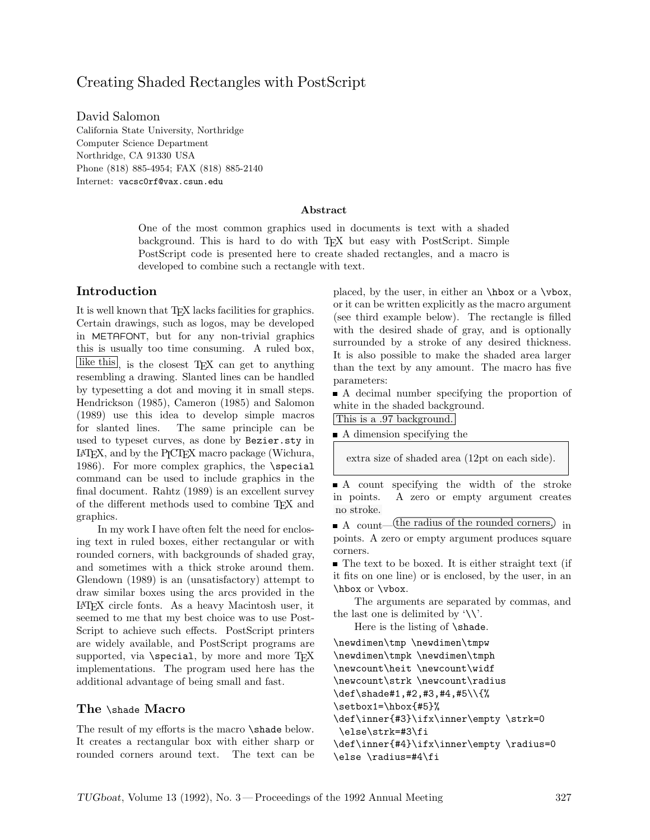# Creating Shaded Rectangles with PostScript

David Salomon California State University, Northridge Computer Science Department Northridge, CA 91330 USA Phone (818) 885-4954; FAX (818) 885-2140 Internet: vacsc0rf@vax.csun.edu

#### **Abstract**

One of the most common graphics used in documents is text with a shaded background. This is hard to do with TEX but easy with PostScript. Simple PostScript code is presented here to create shaded rectangles, and a macro is developed to combine such a rectangle with text.

### **Introduction**

It is well known that T<sub>EX</sub> lacks facilities for graphics. Certain drawings, such as logos, may be developed in METAFONT, but for any non-trivial graphics this is usually too time consuming. A ruled box, like this, is the closest TFX can get to anything resembling a drawing. Slanted lines can be handled by typesetting a dot and moving it in small steps. Hendrickson (1985), Cameron (1985) and Salomon (1989) use this idea to develop simple macros for slanted lines. The same principle can be used to typeset curves, as done by Bezier.sty in LATEX, and by the PICTEX macro package (Wichura, 1986). For more complex graphics, the  $\simeq$ command can be used to include graphics in the final document. Rahtz (1989) is an excellent survey of the different methods used to combine TEX and graphics.

In my work I have often felt the need for enclosing text in ruled boxes, either rectangular or with rounded corners, with backgrounds of shaded gray, and sometimes with a thick stroke around them. Glendown (1989) is an (unsatisfactory) attempt to draw similar boxes using the arcs provided in the LATEX circle fonts. As a heavy Macintosh user, it seemed to me that my best choice was to use Post-Script to achieve such effects. PostScript printers are widely available, and PostScript programs are supported, via  $\text{special}$ , by more and more TFX implementations. The program used here has the additional advantage of being small and fast.

### **The** \shade **Macro**

The result of my efforts is the macro \shade below. It creates a rectangular box with either sharp or rounded corners around text. The text can be placed, by the user, in either an \hbox or a \vbox, or it can be written explicitly as the macro argument (see third example below). The rectangle is filled with the desired shade of gray, and is optionally surrounded by a stroke of any desired thickness. It is also possible to make the shaded area larger than the text by any amount. The macro has five parameters:

A decimal number specifying the proportion of white in the shaded background.

This is a .97 background.

A dimension specifying the

extra size of shaded area (12pt on each side).

A count specifying the width of the stroke in points. A zero or empty argument creates no stroke.

A count— (the radius of the rounded corners,) in

The text to be boxed. It is either straight text (if it fits on one line) or is enclosed, by the user, in an \hbox or \vbox.

The arguments are separated by commas, and the last one is delimited by  $\langle \backslash \rangle$ .

Here is the listing of \shade.

\newdimen\tmp \newdimen\tmpw \newdimen\tmpk \newdimen\tmph \newcount\heit \newcount\widf \newcount\strk \newcount\radius \def\shade#1,#2,#3,#4,#5\\{% \setbox1=\hbox{#5}% \def\inner{#3}\ifx\inner\empty \strk=0 \else\strk=#3\fi \def\inner{#4}\ifx\inner\empty \radius=0

```
\else \radius=#4\fi
```
points. A zero or empty argument produces square corners.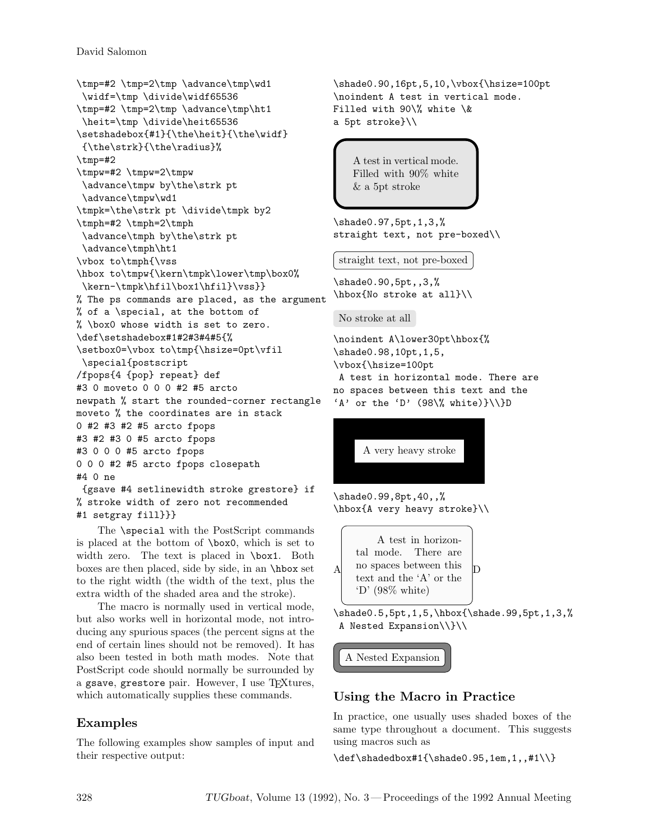David Salomon

```
\tmp=#2 \tmp=2\tmp \advance\tmp\wd1
\widf=\tmp \divide\widf65536
\tmp=#2 \tmp=2\tmp \advance\tmp\ht1
 \heit=\tmp \divide\heit65536
\setshadebox{#1}{\the\heit}{\the\widf}
 {\the\strk}{\the\radius}%
\tmp=#2
\tmpw=#2 \tmpw=2\tmpw
 \advance\tmpw by\the\strk pt
\advance\tmpw\wd1
\tmpk=\the\strk pt \divide\tmpk by2
\tmph=#2 \tmph=2\tmph
 \advance\tmph by\the\strk pt
 \advance\tmph\ht1
\vbox to\tmph{\vss
\hbox to\tmpw{\kern\tmpk\lower\tmp\box0%
\kern-\tmpk\hfil\box1\hfil}\vss}}
% The ps commands are placed, as the argument
% of a \special, at the bottom of
% \box0 whose width is set to zero.
\def\setshadebox#1#2#3#4#5{%
\setbox0=\vbox to\tmp{\hsize=0pt\vfil
\special{postscript
/fpops{4 {pop} repeat} def
#3 0 moveto 0 0 0 #2 #5 arcto
newpath % start the rounded-corner rectangle
moveto % the coordinates are in stack
0 #2 #3 #2 #5 arcto fpops
#3 #2 #3 0 #5 arcto fpops
#3 0 0 0 #5 arcto fpops
0 0 0 #2 #5 arcto fpops closepath
#4 0 ne
 {gsave #4 setlinewidth stroke grestore} if
% stroke width of zero not recommended
#1 setgray fill}}}
```
The \special with the PostScript commands is placed at the bottom of \box0, which is set to width zero. The text is placed in \box1. Both boxes are then placed, side by side, in an \hbox set to the right width (the width of the text, plus the extra width of the shaded area and the stroke).

The macro is normally used in vertical mode, but also works well in horizontal mode, not introducing any spurious spaces (the percent signs at the end of certain lines should not be removed). It has also been tested in both math modes. Note that PostScript code should normally be surrounded by a gsave, grestore pair. However, I use TFXtures, which automatically supplies these commands.

# **Examples**

The following examples show samples of input and their respective output:

```
\shade0.90,16pt,5,10,\vbox{\hsize=100pt
\noindent A test in vertical mode.
Filled with 90\% white \&
a 5pt stroke}\\
```
A test in vertical mode. Filled with 90% white & a 5pt stroke

```
\shade0.97,5pt,1,3,%
straight text, not pre-boxed\\
```
straight text, not pre-boxed

\shade0.90,5pt,,3,% \hbox{No stroke at all}\\

No stroke at all

```
\noindent A\lower30pt\hbox{%
\shade0.98,10pt,1,5,
\vbox{\hsize=100pt
A test in horizontal mode. There are
no spaces between this text and the
'A' or the 'D' (98\% \text{ white})\}\(\D)
```


\shade0.99,8pt,40,,% \hbox{A very heavy stroke}\\

A A test in horizontal mode. There are no spaces between this text and the 'A' or the  $\langle D' (98\% \text{ white}) \rangle$ D

\shade0.5,5pt,1,5,\hbox{\shade.99,5pt,1,3,% A Nested Expansion\\}\\

A Nested Expansion

# **Using the Macro in Practice**

In practice, one usually uses shaded boxes of the same type throughout a document. This suggests using macros such as

\def\shadedbox#1{\shade0.95,1em,1,,#1\\}